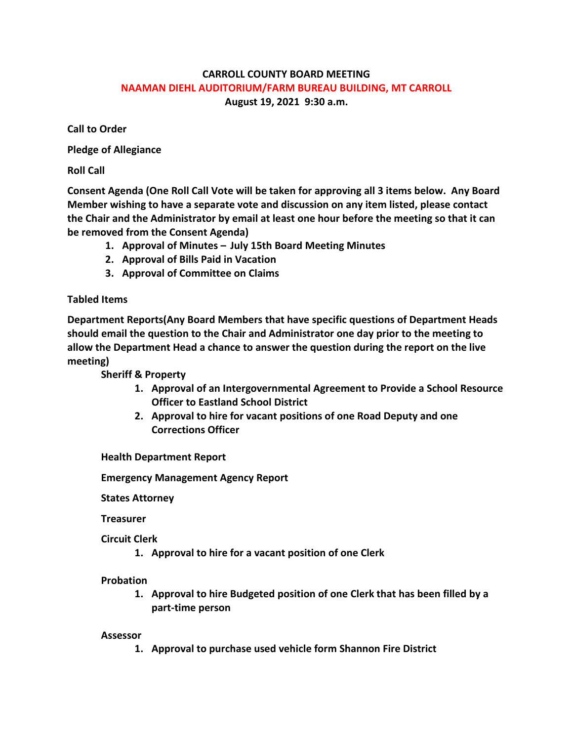# **CARROLL COUNTY BOARD MEETING NAAMAN DIEHL AUDITORIUM/FARM BUREAU BUILDING, MT CARROLL August 19, 2021 9:30 a.m.**

**Call to Order**

**Pledge of Allegiance**

**Roll Call**

**Consent Agenda (One Roll Call Vote will be taken for approving all 3 items below. Any Board Member wishing to have a separate vote and discussion on any item listed, please contact the Chair and the Administrator by email at least one hour before the meeting so that it can be removed from the Consent Agenda)**

- **1. Approval of Minutes – July 15th Board Meeting Minutes**
- **2. Approval of Bills Paid in Vacation**
- **3. Approval of Committee on Claims**

# **Tabled Items**

**Department Reports(Any Board Members that have specific questions of Department Heads should email the question to the Chair and Administrator one day prior to the meeting to allow the Department Head a chance to answer the question during the report on the live meeting)**

**Sheriff & Property**

- **1. Approval of an Intergovernmental Agreement to Provide a School Resource Officer to Eastland School District**
- **2. Approval to hire for vacant positions of one Road Deputy and one Corrections Officer**

**Health Department Report**

**Emergency Management Agency Report**

**States Attorney**

**Treasurer**

**Circuit Clerk**

**1. Approval to hire for a vacant position of one Clerk**

## **Probation**

**1. Approval to hire Budgeted position of one Clerk that has been filled by a part-time person**

## **Assessor**

**1. Approval to purchase used vehicle form Shannon Fire District**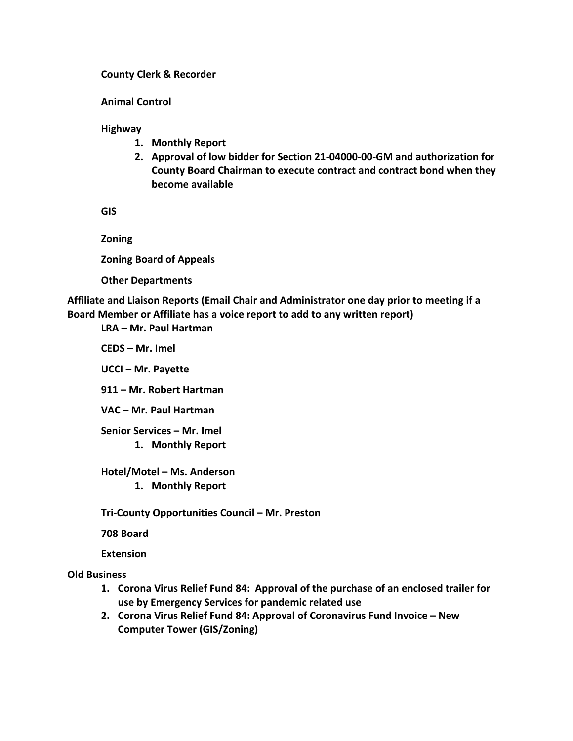#### **County Clerk & Recorder**

**Animal Control**

**Highway**

- **1. Monthly Report**
- **2. Approval of low bidder for Section 21-04000-00-GM and authorization for County Board Chairman to execute contract and contract bond when they become available**

**GIS**

**Zoning**

**Zoning Board of Appeals**

**Other Departments**

**Affiliate and Liaison Reports (Email Chair and Administrator one day prior to meeting if a Board Member or Affiliate has a voice report to add to any written report)**

**LRA – Mr. Paul Hartman**

**CEDS – Mr. Imel**

**UCCI – Mr. Payette**

**911 – Mr. Robert Hartman**

**VAC – Mr. Paul Hartman**

**Senior Services – Mr. Imel**

**1. Monthly Report**

**Hotel/Motel – Ms. Anderson**

**1. Monthly Report**

**Tri-County Opportunities Council – Mr. Preston**

**708 Board**

**Extension**

**Old Business**

- **1. Corona Virus Relief Fund 84: Approval of the purchase of an enclosed trailer for use by Emergency Services for pandemic related use**
- **2. Corona Virus Relief Fund 84: Approval of Coronavirus Fund Invoice – New Computer Tower (GIS/Zoning)**